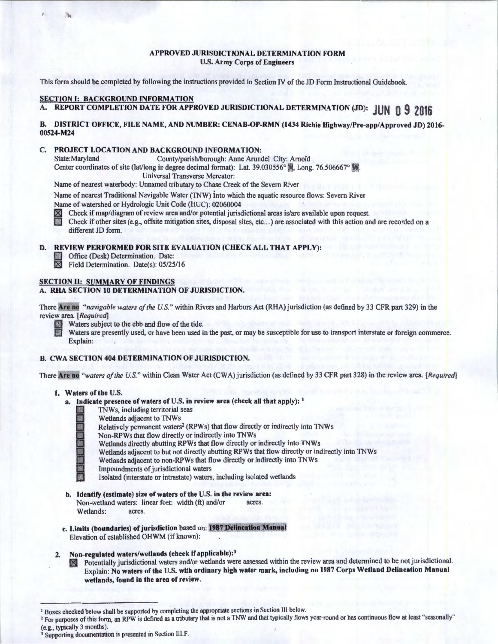#### APPROVED JURISDICTIONAL DETERMINATION FORM U.S. Army Corps of Engineers

This form should be completed by following the instructions provided in Section IV of the JD Form Instructional Guidebook.

### SECTION I: BACKGROUND INFORMATION

A. REPORT COMPLETION DATE FOR APPROVED JURISDICTIONAL DETERMINATION (JD): **JUN Q 9 2016** 

#### B. DISTRICT OFFICE, FILE NAME, AND NUMBER: CENAB-OP-RMN (1434 Richie Highway/Pre-app/Approved JD) 2016- 00524-M24

# C. PROJECT LOCATION AND BACKGROUND INFORMATION:<br>State:Maryland County/parish/borough: Anne Aruno

County/parish/borough: Anne Arundel City: Arnold Center coordinates of site (lat/long in degree decimal format): Lat. 39.030556° N, Long. 76.506667° M.

Universal Transverse Mercator:

Name of nearest waterbody: Unnamed tributary to Chase Creek of the Severn River

Name of nearest Traditional Navigable Water (TNW) into which the aquatic resource flows: Severn River

Name of watershed or Hydrologic Unit Code (HUC): 02060004

Check if map/diagram of review area and/or potential jurisdictional areas is/are available upon request.

Check if other sites (e.g., offsite mitigation sites, disposal sites, etc...) are associated with this action and are recorded on a different JD form.

#### D. REVIEW PERFORMED FOR SITE EVALUATION (CHECK ALL THAT APPLY):

- Office (Desk) Determination. Date:<br>  $\overline{X}$  Field Determination. Date(s): 05/25
	- Field Determination. Date(s): 05/25/16

## SECTION II: SUMMARY OF FINDINGS

#### A. RHA SECTION 10 DETERMINATION OF JURISDICTION.

There Are no *"navigable waters of the U.S."* within Rivers and Harbors Act (RHA) jurisdiction (as defined by 33 CFR part 329) in the review area. *[Required]* 

Waters are presently used, or have been used in the past, or may be susceptible for use to transport interstate or foreign commerce. Explain:

## B. CWA SECTION 404 DETERMINATION OF JURISDICTION.

There **Are no** "waters of the U.S." within Clean Water Act (CWA) jurisdiction (as defined by 33 CFR part 328) in the review area. [Required]

#### I. Waters of the U.S.

- a. Indicate presence of waters of U.S. in review area (check all that apply): <sup>1</sup>
	- 13 TNWs, including territorial seas
	-
	- Wetlands adjacent to TNWs<br>Relatively permanent waters<sup>2</sup> (RPWs) that flow directly or indirectly into TNWs
	- Non-RPWs that flow directly or indirectly into TNWs
	- Wetlands directly abutting RPWs that flow directly or indirectly into TNWs
	- Wetlands adjacent to but not directly abutting RPWs that flow directly or indirectly into TNWs
	- Wetlands adjacent to non-RPWs that flow directly or indirectly into TNWs
	- Impoundments of jurisdictional waters
	- Isolated (interstate or intrastate) waters, including isolated wetlands
- b. Identify (estimate) size of waters of the U.S. in the review area: Non-wetland waters: linear feet: width (ft) and/or acres. Wetlands: acres.
- c. Limits (boundaries) of jurisdiction based on: 1987 Delineation Manual Elevation of established OHWM (if known):
- 2. Non-regulated waters/wetlands (check if applicable):<sup>3</sup>
	- **181 Potentially jurisdictional waters and/or wetlands were assessed within the review area and determined to be not jurisdictional.** Explain: No waters of the U.S. with ordinary high water mark, including no 1987 Corps Wetland Delineation Manual wetlands, found in the area of review.

Boxes checked below shall be supported by completing the appropriate sections in Section III below.

<sup>&</sup>lt;sup>2</sup> For purposes of this form, an RPW is defined as a tributary that is not a TNW and that typically flows year-round or has continuous flow at least "seasonally"

<sup>(</sup>e.g., typically 3 months). <sup>3</sup> Supporting documentation is presented in Section III.F.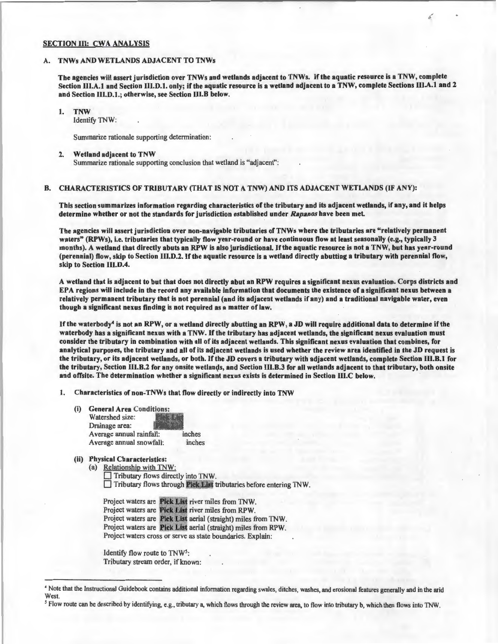#### SECTION III: CWA ANALYSIS

#### TNWs AND WETLANDS ADJACENT TO TNWs

The agencies will assert jurisdiction over TNWs and wetlands adjacent to TNWs. If the aquatic resource is a TNW, complete Section III.A.1 and Section III.D.1. only; if the aquatic resource is a wetland adjacent to a TNW, complete Sections III.A.1 and 2 and Section 111.D.1.; otherwise, see Section lll.B below.

#### I. TNW

Identify TNW:

Summarize rationale supporting determination:

#### 2. Wetland adjacent to TNW

Summarize rationale supporting conclusion that wetland is "adjacent":

## B. CHARACTERISTICS OF TRIBUTARY (THAT IS NOT A TNW) AND ITS ADJACENT WETLANDS (IF ANY):

This section summarizes information regarding characteristics of the tributary and its adjacent wetlands, if any, and it helps determine whether or not the standards for jurisdiction established under *Rapanos* have been met.

The agencies will assert jurisdiction over non-navigable tributaries ofTNWs where the tributaries are "relatively permanent waters" (RPWs), i.e. tributaries that typically flow year-round or have continuous flow at least seasonally (e.g., typically 3 months). A wetland that directly abuts an RPW is also jurisdictional. If the aquatic resource is not a TNW, but has year-round (perennial) flow, skip to Section Ill.D.2. If the aquatic resource is a wetland directly abutting a tributary with perennial flow, skip to Section III.D.4.

A wetland that is adjacent to but that does not directly abut an RPW requires a significant nexus evaluation. Corps districts and EPA regions will include in the record any available information that documents the existence of a significant nexus between a relatively permanent tributary that is not perennial (and its adjacent wetlands if any) and a traditional navigable water, even though a significant nexus finding is not required as a matter of law.

If the waterbody4 is not an RPW, or a wetland directly abutting an RPW, a JD will require additional data to determine ifthe waterbody has a significant nexus with a TNW. If the tributary has adjacent wetlands, the significant nexus evaluation must consider the tributary in combination with all of its adjacent wetlands. This significant nexus evaluation that combines, for analytical purposes, the tributary and all of its adjacent wetlands is used whether the review area identified in the JD request is the tributary, or its adjacent wetlands, or both. If the JD covers a tributary with adjacent wetlands, complete Section III.B.1 for the tributary, Section III.B.2 for any onsite wetlands, and Section III.B.3 for all wetlands adjacent to that tributary, both onsite and offsite. The determination whether a significant nexus exists is determined in Section 111.C below.

1. Characteristics of non-TNWs that flow directly or indirectly into TNW

- (i) General Area Conditions: Watershed size: Drainage area: Average annual rainfall: inches<br>Average annual snowfall: inches Average annual snowfall:
- (ii) Physical Characteristics:

(a) Relationship with TNW:

Tributary flows directly into TNW.  $\Box$  Tributary flows through Pick List tributaries before entering TNW.

Project waters are Pick List river miles from TNW. Project waters are **Pick List** river miles from RPW. Project waters are Pick List aerial (straight) miles from TNW. Project waters cross or serve as state boundaries. Explain:

Identify flow route to TNW5: Tributary stream order, if known:

<sup>4</sup> Note that the Instructional Guidebook contains additional information regarding swales, ditches, washes, and erosional features generally and in the arid West.

<sup>~</sup> Flow route can be described by identifying, e.g., tributary a, which flows through the review area, to flow into tributary b, which then flows into TNW.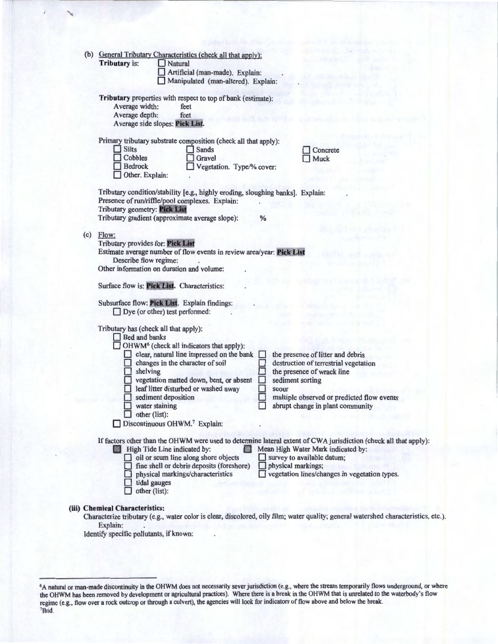| (b) |                                                                                                                                     |                     |                                                      |  |                                                                                                                                     |  |  |
|-----|-------------------------------------------------------------------------------------------------------------------------------------|---------------------|------------------------------------------------------|--|-------------------------------------------------------------------------------------------------------------------------------------|--|--|
|     | General Tributary Characteristics (check all that apply):<br>Tributary is:<br>Natural                                               |                     |                                                      |  |                                                                                                                                     |  |  |
|     |                                                                                                                                     |                     | Artificial (man-made). Explain:                      |  |                                                                                                                                     |  |  |
|     |                                                                                                                                     |                     | Manipulated (man-altered). Explain:                  |  |                                                                                                                                     |  |  |
|     |                                                                                                                                     |                     |                                                      |  |                                                                                                                                     |  |  |
|     | Tributary properties with respect to top of bank (estimate):                                                                        |                     |                                                      |  |                                                                                                                                     |  |  |
|     | Average width:<br>feet                                                                                                              |                     |                                                      |  |                                                                                                                                     |  |  |
|     | Average depth:                                                                                                                      |                     | feet                                                 |  |                                                                                                                                     |  |  |
|     |                                                                                                                                     |                     |                                                      |  |                                                                                                                                     |  |  |
|     | Average side slopes: Pick List.                                                                                                     |                     |                                                      |  |                                                                                                                                     |  |  |
|     |                                                                                                                                     |                     |                                                      |  |                                                                                                                                     |  |  |
|     | Primary tributary substrate composition (check all that apply):<br><b>Silts</b><br><b>Sands</b>                                     |                     |                                                      |  |                                                                                                                                     |  |  |
|     | Cobbles                                                                                                                             |                     |                                                      |  | Concrete                                                                                                                            |  |  |
|     |                                                                                                                                     |                     | Gravel                                               |  | <b>Muck</b>                                                                                                                         |  |  |
|     | <b>Bedrock</b>                                                                                                                      |                     | Vegetation. Type/% cover:                            |  |                                                                                                                                     |  |  |
|     | Other. Explain:                                                                                                                     |                     |                                                      |  |                                                                                                                                     |  |  |
|     |                                                                                                                                     |                     |                                                      |  |                                                                                                                                     |  |  |
|     | Tributary condition/stability [e.g., highly eroding, sloughing banks]. Explain:                                                     |                     |                                                      |  |                                                                                                                                     |  |  |
|     | Presence of run/riffle/pool complexes. Explain:<br>Tributary geometry: Pick List<br>Tributary gradient (approximate average slope): |                     |                                                      |  |                                                                                                                                     |  |  |
|     |                                                                                                                                     |                     |                                                      |  |                                                                                                                                     |  |  |
|     |                                                                                                                                     |                     |                                                      |  |                                                                                                                                     |  |  |
| (c) | Flow:                                                                                                                               |                     |                                                      |  |                                                                                                                                     |  |  |
|     | Tributary provides for: Pick List                                                                                                   |                     |                                                      |  |                                                                                                                                     |  |  |
|     | Estimate average number of flow events in review area/year: Pick List                                                               |                     |                                                      |  |                                                                                                                                     |  |  |
|     | Describe flow regime:                                                                                                               |                     |                                                      |  |                                                                                                                                     |  |  |
|     | Other information on duration and volume:                                                                                           |                     |                                                      |  |                                                                                                                                     |  |  |
|     | Surface flow is: Pick List. Characteristics:                                                                                        |                     |                                                      |  |                                                                                                                                     |  |  |
|     |                                                                                                                                     |                     |                                                      |  |                                                                                                                                     |  |  |
|     |                                                                                                                                     |                     |                                                      |  |                                                                                                                                     |  |  |
|     |                                                                                                                                     |                     |                                                      |  |                                                                                                                                     |  |  |
|     |                                                                                                                                     |                     | Subsurface flow: Pick List. Explain findings:        |  |                                                                                                                                     |  |  |
|     | $\Box$ Dye (or other) test performed:                                                                                               |                     |                                                      |  |                                                                                                                                     |  |  |
|     |                                                                                                                                     |                     |                                                      |  |                                                                                                                                     |  |  |
|     | Tributary has (check all that apply):                                                                                               |                     |                                                      |  |                                                                                                                                     |  |  |
|     | Bed and banks                                                                                                                       |                     |                                                      |  |                                                                                                                                     |  |  |
|     |                                                                                                                                     |                     | OHWM <sup>6</sup> (check all indicators that apply): |  |                                                                                                                                     |  |  |
|     |                                                                                                                                     |                     | clear, natural line impressed on the bank            |  | the presence of litter and debris                                                                                                   |  |  |
|     |                                                                                                                                     |                     | changes in the character of soil                     |  | destruction of terrestrial vegetation                                                                                               |  |  |
|     | shelving                                                                                                                            |                     |                                                      |  | the presence of wrack line                                                                                                          |  |  |
|     |                                                                                                                                     |                     | vegetation matted down, bent, or absent              |  | sediment sorting                                                                                                                    |  |  |
|     |                                                                                                                                     |                     | leaf litter disturbed or washed away                 |  | scour                                                                                                                               |  |  |
|     |                                                                                                                                     | sediment deposition |                                                      |  | multiple observed or predicted flow events                                                                                          |  |  |
|     |                                                                                                                                     | water staining      |                                                      |  | abrupt change in plant community                                                                                                    |  |  |
|     |                                                                                                                                     | other (list):       |                                                      |  |                                                                                                                                     |  |  |
|     |                                                                                                                                     |                     | Discontinuous OHWM.7 Explain:                        |  |                                                                                                                                     |  |  |
|     |                                                                                                                                     |                     |                                                      |  |                                                                                                                                     |  |  |
|     |                                                                                                                                     |                     |                                                      |  | If factors other than the OHWM were used to determine lateral extent of CWA jurisdiction (check all that apply):                    |  |  |
|     | <b>Example 1</b> High Tide Line indicated by:                                                                                       |                     | <b>ISS!</b>                                          |  | Mean High Water Mark indicated by:                                                                                                  |  |  |
|     |                                                                                                                                     |                     | $\Box$ oil or scum line along shore objects          |  | $\Box$ survey to available datum;                                                                                                   |  |  |
|     |                                                                                                                                     |                     | fine shell or debris deposits (foreshore)            |  | $\Box$ physical markings;                                                                                                           |  |  |
|     |                                                                                                                                     |                     | physical markings/characteristics                    |  | □ vegetation lines/changes in vegetation types.                                                                                     |  |  |
|     |                                                                                                                                     | tidal gauges        |                                                      |  |                                                                                                                                     |  |  |
|     |                                                                                                                                     | other (list):       |                                                      |  |                                                                                                                                     |  |  |
|     |                                                                                                                                     |                     |                                                      |  |                                                                                                                                     |  |  |
|     | (iii) Chemical Characteristics:                                                                                                     |                     |                                                      |  |                                                                                                                                     |  |  |
|     |                                                                                                                                     |                     |                                                      |  | Characterize tributary (e.g., water color is clear, discolored, oily film; water quality; general watershed characteristics, etc.). |  |  |
|     | Explain:<br>Identify specific pollutants, if known:                                                                                 |                     |                                                      |  |                                                                                                                                     |  |  |

<sup>6</sup>A natural or man-made discontinuity in the OHWM does not necessarily sever jurisdiction (e.g., where the stream temporarily flows underground, or where the OHWM has been removed by development or agricultural practices). Where there is a break in the OHWM that is umelated to the waterbody's flow regime (e.g., flow over a rock outcrop or through a culvert), the agencies will look for indicators of flow above and below the break. 7Ibid.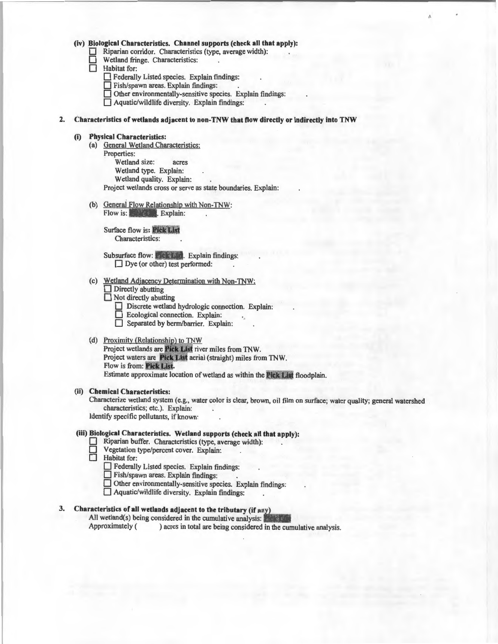(iv) Biological Characteristics. Channel supports (check all that apply):<br>  $\Box$  Riparian corridor. Characteristics (type, average width):<br>  $\Box$  Habitat for:<br>  $\Box$  Habitat for:

Riparian corridor. Characteristics (type, average width):

Wetland fringe. Characteristics:

Habitat for:

0 Federally Listed species. Explain findings:

**D** Fish/spawn areas. Explain findings:

 $\Box$  Other environmentally-sensitive species. Explain findings:

 $\Box$  Aquatic/wildlife diversity. Explain findings:

2. Characteristics of wetlands adjacent to non-TNW that flow directly or indirectly into TNW

## (i) Physical Characteristics:

- (a) General Wetland Characteristics: Properties: Wetland size: acres Wetland type. Explain: Wetland quality. Explain: Project wetlands cross or serve as state boundaries. Explain:
- (b) General Flow Relationship with Non-TNW: Flow is: **in Listin.** Explain:

**Surface flow is: Pick List** Characteristics:

Subsurface flow: Pick Lim. Explain findings:  $\Box$  Dye (or other) test performed:

- (c) Wetland Adjacency Determination with Non-TNW:
	- $\Box$  Directly abutting

Not directly abutting

- Discrete wetland hydrologic connection. Explain:
- 0 Ecological connection. Explain:
- Separated by berm/barrier. Explain:

#### (d) Proximity (Relationship) to TNW

Project wetlands are Pick List river miles from TNW. Project waters are Pick List aerial (straight) miles from TNW. Flow is from: Pick List. Estimate approximate location of wetland as within the Pick List floodplain.

(ii) Chemical Characteristics:

Characterize wetland system (e.g., water color is clear, brown, oil film on surface; water quality; general watershed characteristics; etc.). Explain:

Identify specific pollutants, if known:

### (iii) Biological Characteristics. Wetland supports (check all that apply):

- Riparian buffer. Characteristics (type, average width):
- Vegetation type/percent cover. Explain:
- Habitat for:
	- 0 Federally Listed species. Explain findings:
	- $\Box$  Fish/spawn areas. Explain findings:
	- $\Box$  Other environmentally-sensitive species. Explain findings:
	- $\Box$  Aquatic/wildlife diversity. Explain findings:

## 3. Characteristics of all wetlands adjacent to the tributary (if any)

All wetland(s) being considered in the cumulative analysis:  $\frac{1}{2}$  exception Approximately () acres in total are being considered in the cum

) acres in total are being considered in the cumulative analysis.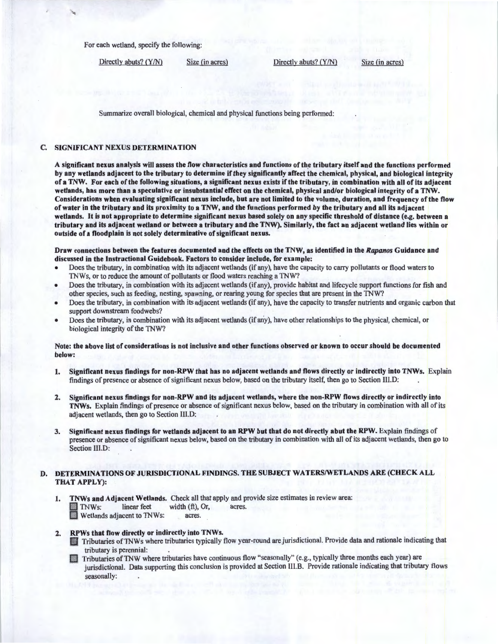For each wetland, specify the following:

Directly abuts? (Y/N) Size (in acres) Directly abuts? (Y/N) Size (in acres)

Summarize overall biological, chemical and physical functions being performed:

#### C. SIGNIFICANT NEXUS DETERMINATION

A significant nexus analysis will assess the flow characteristics and functions of the tributary itself and the functions performed by any wetlands adjacent to the tributary to determine if they significantly affect the chemical, physical, and biological integrity of a TNW. For each of the following situations, a significant nexus exists if the tributary, in combination with all of its adjacent wetlands, has more than a speculative or insubstantial effect on the chemical, physical and/or biological integrity of a TNW. Considerations when evaluating significant nexus include, but are not limited to the volume, duration, and frequency of the flow of water in the tributary and its proximity to a TNW, and the functions performed by the tributary and all its adjacent wetlands. It is not appropriate to determine significant nexus based solely on any specific threshold of distance (e.g. between a tributary and its adjacent wetland or between a tributary and the TNW). Similarly, the fact an adjacent wetland lies within or outside of a floodplain is not solely determinative of significant nexus.

Draw connections between the features documented and the effects on the TNW, as identified in the *Rapanos* Guidance and discussed in the Instructional Guidebook. Factors to consider include, for example:

- Does the tributary, in combination with its adjacent wetlands (if any), have the capacity to carry pollutants or flood waters to TNWs, or to reduce the amount of pollutants or flood waters reaching a TNW?
- Does the tributary, in combination with its adjacent wetlands (if any), provide habitat and lifecycle support functions for fish and other species, such as feeding, nesting, spawning, or rearing young for species that are present in the TNW?
- Does the tributary, in combination with its adjacent wetlands (if any), have the capacity to transfer nutrients and organic carbon that support downstream foodwebs?
- Does the tributary, in combination with its adjacent wetlands (ifariy), have other relationships to the physical, chemical, or biological integrity of the TNW?

Note: the above list of considerations is not inclusive and other functions observed or known to occur should be documented below:

- 1. Significant nexus findings for non-RPW that has no adjacent wetlands and flows directly or indirectly into TNWs. Explain findings of presence or absence of significant nexus below, based on the tributary itself, then go to Section lll.D:
- 2. Significant nexus findings for non-RPW and its adjacent wetlands, where the non-RPW flows directly or indirectly into TNWs. Explain findings of presence or absence of significant nexus below, based on the tributary in combination with all of its adjacent wetlands, then go to Section IIl.D:
- 3. Significant nexus findings for wetlands adjacent to an RPW but that do not directly abut the RPW. Explain findings of presence or absence of significant nexus below, based on the tributary in combination with all of its adjacent wetlands, then go to Section III.D:

## D. DETERMINATIONS OF JURISDICTIONAL FINDINGS. THE SUBJECT WATERS/WETLANDS ARE (CHECK ALL THAT APPLY):

1. TNWs and Adjacent Wetlands. Check all that apply and provide size estimates in review area: B TNWs: linear feet width (ft), Or, acres. Wetlands adjacent to TNWs: acres.

## 2. RPWs that flow directly or indirectly into TNWs.

- \ Tributaries ofTNWs where tributaries typically flow year-round are jurisdictional. Provide data and rationale indicating that tributary is perennial: .
- CJ Tributaries ofTNW where tributaries have continuous flow "seasonally" (e.g., typically three months each year) are jurisdictional. Data supporting this conclusion is provided at Section lll.B. Provide rationale indicating that tributary flows seasonally: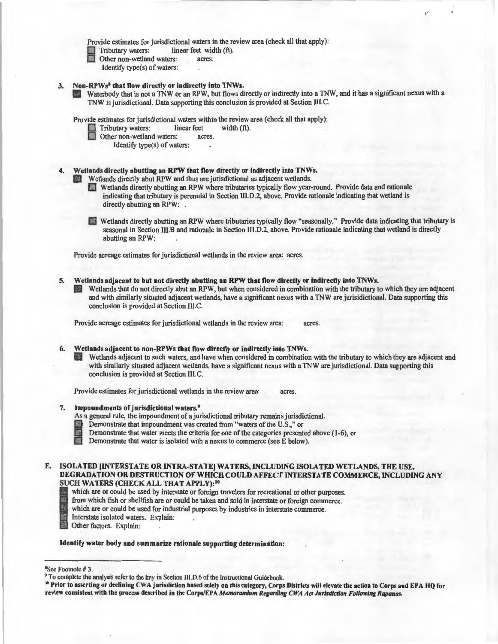Provide estimates for jurisdictional waters in the review area (check all that apply):<br>
Tributary waters: linear feet width (ft).

Tributary waters: linear feet width (ft).<br>
Other non-wetland waters: acres.<br>
Identify type(s) of waters:

- - Identify type(s) of waters:
- 
- 3. Non-RPWs<sup>8</sup> that flow directly or indirectly into TNWs.<br>Waterbody that is not a TNW or an RPW, but flows directly or indirectly into a TNW, and it has a significant nexus with a TNW is jurisdictional. Data supporting this conclusion is provided at Section 111.C.

Provide estimates for jurisdictional waters within the review area (check all that apply):<br>
Tributary waters: linear feet width (ft).

- Fributary waters: linear feet width (ft).<br>
Other non-wetland waters: acres.<br>
Identify type(s) of waters:
- - Identify type(s) of waters:

# Wetlands directly abutting an RPW that flow directly or indirectly into TNWs.<br>All Wetlands directly abut RPW and thus are jurisdictional as adjacent wetlands.

- Wetlands directly abutting an RPW where tributaries typically flow year-round. Provide data and rationale indicating that tributary is perennial in Section Ill.D.2, above. Provide rationale indicating that wetland is directly abutting an RPW: .
- **E:1** Wetlands directly abutting an RPW where tributaries typically flow "seasonally." Provide data indicating that tributary is seasonal in Section Ill.B and rationale in Section III.D.2, above. Provide rationale indicating that wetland is directly abutting an RPW:

Provide acreage estimates for jurisdictional wetlands in the review area: acres.

5. Wetlands adjacent to but not directly abutting an RPW that flow directly or indirectly into TNWs. Wetlands that do not directly abut an RPW, but when considered in combination with the tributary to which they are adjacent and with similarly situated adjacent wetlands, have a significant nexus with a TNW are jurisidictional. Data supporting this conclusion is provided at Section III.C.

Provide acreage estimates for jurisdictional wetlands in the review area: acres.

#### 6. Wetlands adjacent to non-RPWs that flow directly or indirectly into TNWs.

Wetlands adjacent to such waters, and have when considered in combination with the tributary to which they are adjacent and with similarly situated adjacent wetlands, have a significant nexus with a TNW are jurisdictional. Data supporting this conclusion is provided at Section III.C.

Provide estimates for jurisdictional wetlands in the review area: acres.

## 7. Impoundments of jurisdictional waters.<sup>9</sup>

- 
- 
- As a general rule, the impoundment of a jurisdictional tributary remains jurisdictional.<br>
Demonstrate that impoundment was created from "waters of the U.S.," or<br>
Demonstrate that water meets the criteria for one of the cat **Demonstrate that water meets the criteria for one of the categories presented above (1-6), or Demonstrate that water is isolated with a nexus to commerce (see E below).**
- 
- E. ISOLATED [INTERSTATE OR INTRA-STATE] WATERS, INCLUDING ISOLATED WETLANDS, THE USE, DEGRADATION OR DESTRUCTION OF WHICH COULD AFFECT INTERSTATE COMMERCE, INCLUDING ANY SUCH WATERS (CHECK ALL THAT APPLY):<sup>10</sup>
	- which are or could be used by interstate or foreign travelers for recreational or other purposes.<br>from which fish or shellfish are or could be taken and sold in interstate or foreign commerce.
	- From which fish or shellfish are or could be taken and sold in interstate or foreign commerce.<br>
	which are or could be used for industrial purposes by industries in interstate commerce.<br>
	Interstate isolated waters. Explain:

which are or could be used for industrial purposes by industries in interstate commerce.

- Interstate isolated waters. Explain:
- Other factors. Explain:

Identify water body and summarize rationale supporting determination:

<sup>8</sup>See Footnote #3.

<sup>&</sup>lt;sup>9</sup> To complete the analysis refer to the key in Section III.D.6 of the Instructional Guidebook.<br><sup>10</sup> Prior to asserting or declining CWA jurisdiction based solely on this category, Corps Districts will elevate the action review consistent with the process described in the Corps/EPA *Memorandum Regarding CWA Ad Jurisdiction Following Rapanos.*